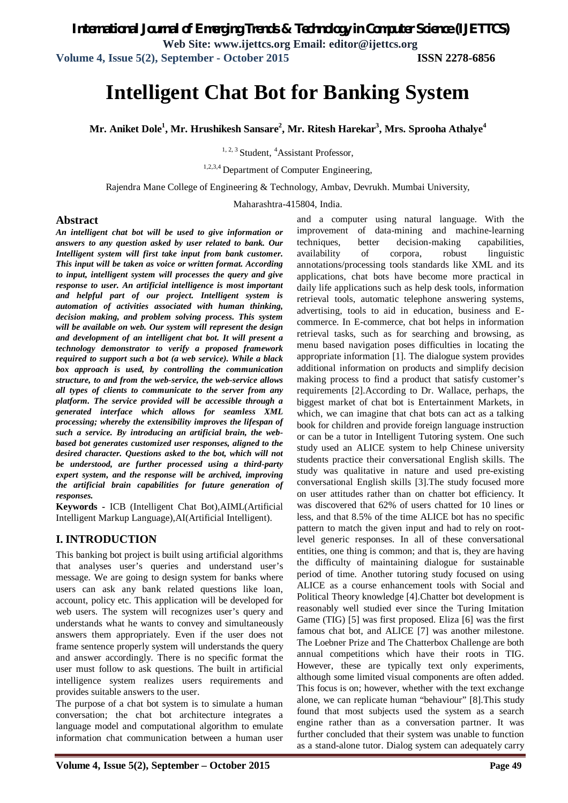**Web Site: www.ijettcs.org Email: editor@ijettcs.org** 

**Volume 4, Issue 5(2), September - October 2015 ISSN 2278-6856**

# **Intelligent Chat Bot for Banking System**

**Mr. Aniket Dole<sup>1</sup> , Mr. Hrushikesh Sansare<sup>2</sup> , Mr. Ritesh Harekar<sup>3</sup> , Mrs. Sprooha Athalye<sup>4</sup>**

<sup>1, 2, 3</sup> Student, <sup>4</sup>Assistant Professor,

<sup>1,2,3,4</sup> Department of Computer Engineering,

Rajendra Mane College of Engineering & Technology, Ambav, Devrukh. Mumbai University,

Maharashtra-415804, India.

#### **Abstract**

*An intelligent chat bot will be used to give information or answers to any question asked by user related to bank. Our Intelligent system will first take input from bank customer. This input will be taken as voice or written format. According to input, intelligent system will processes the query and give response to user. An artificial intelligence is most important and helpful part of our project. Intelligent system is automation of activities associated with human thinking, decision making, and problem solving process. This system will be available on web. Our system will represent the design and development of an intelligent chat bot. It will present a technology demonstrator to verify a proposed framework required to support such a bot (a web service). While a black box approach is used, by controlling the communication structure, to and from the web-service, the web-service allows all types of clients to communicate to the server from any platform. The service provided will be accessible through a generated interface which allows for seamless XML processing; whereby the extensibility improves the lifespan of such a service. By introducing an artificial brain, the webbased bot generates customized user responses, aligned to the desired character. Questions asked to the bot, which will not be understood, are further processed using a third-party expert system, and the response will be archived, improving the artificial brain capabilities for future generation of responses.*

**Keywords -** ICB (Intelligent Chat Bot),AIML(Artificial Intelligent Markup Language),AI(Artificial Intelligent).

## **I. INTRODUCTION**

This banking bot project is built using artificial algorithms that analyses user's queries and understand user's message. We are going to design system for banks where users can ask any bank related questions like loan, account, policy etc. This application will be developed for web users. The system will recognizes user's query and understands what he wants to convey and simultaneously answers them appropriately. Even if the user does not frame sentence properly system will understands the query and answer accordingly. There is no specific format the user must follow to ask questions. The built in artificial intelligence system realizes users requirements and provides suitable answers to the user.

The purpose of a chat bot system is to simulate a human conversation; the chat bot architecture integrates a language model and computational algorithm to emulate information chat communication between a human user

and a computer using natural language. With the improvement of data-mining and machine-learning techniques, better decision-making capabilities, availability of corpora, robust linguistic annotations/processing tools standards like XML and its applications, chat bots have become more practical in daily life applications such as help desk tools, information retrieval tools, automatic telephone answering systems, advertising, tools to aid in education, business and Ecommerce. In E-commerce, chat bot helps in information retrieval tasks, such as for searching and browsing, as menu based navigation poses difficulties in locating the appropriate information [1]. The dialogue system provides additional information on products and simplify decision making process to find a product that satisfy customer's requirements [2].According to Dr. Wallace, perhaps, the biggest market of chat bot is Entertainment Markets, in which, we can imagine that chat bots can act as a talking book for children and provide foreign language instruction or can be a tutor in Intelligent Tutoring system. One such study used an ALICE system to help Chinese university students practice their conversational English skills. The study was qualitative in nature and used pre-existing conversational English skills [3].The study focused more on user attitudes rather than on chatter bot efficiency. It was discovered that 62% of users chatted for 10 lines or less, and that 8.5% of the time ALICE bot has no specific pattern to match the given input and had to rely on rootlevel generic responses. In all of these conversational entities, one thing is common; and that is, they are having the difficulty of maintaining dialogue for sustainable period of time. Another tutoring study focused on using ALICE as a course enhancement tools with Social and Political Theory knowledge [4].Chatter bot development is reasonably well studied ever since the Turing Imitation Game (TIG) [5] was first proposed. Eliza [6] was the first famous chat bot, and ALICE [7] was another milestone. The Loebner Prize and The Chatterbox Challenge are both annual competitions which have their roots in TIG. However, these are typically text only experiments, although some limited visual components are often added. This focus is on; however, whether with the text exchange alone, we can replicate human "behaviour" [8].This study found that most subjects used the system as a search engine rather than as a conversation partner. It was further concluded that their system was unable to function as a stand-alone tutor. Dialog system can adequately carry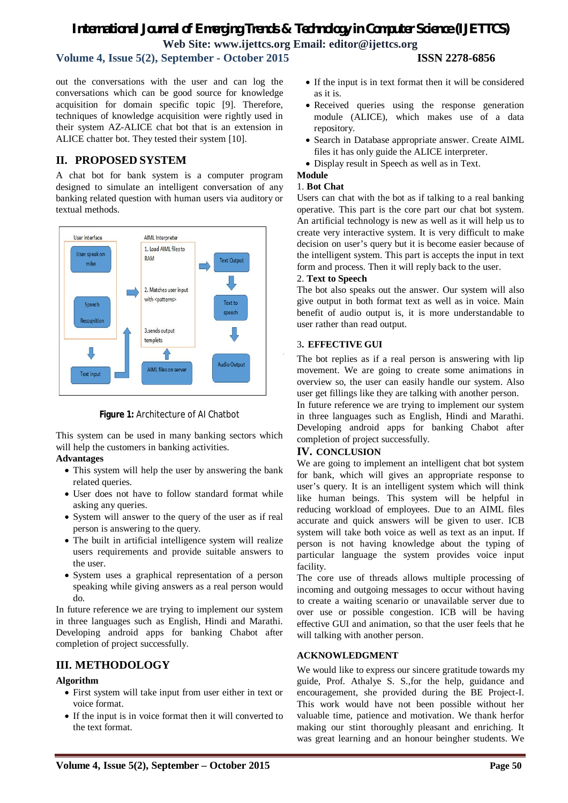## *International Journal of Emerging Trends & Technology in Computer Science (IJETTCS)* **Web Site: www.ijettcs.org Email: editor@ijettcs.org**

**Volume 4, Issue 5(2), September - October 2015 ISSN 2278-6856**

out the conversations with the user and can log the conversations which can be good source for knowledge acquisition for domain specific topic [9]. Therefore, techniques of knowledge acquisition were rightly used in their system AZ-ALICE chat bot that is an extension in ALICE chatter bot. They tested their system [10].

## **II. PROPOSED SYSTEM**

A chat bot for bank system is a computer program designed to simulate an intelligent conversation of any banking related question with human users via auditory or textual methods.



**Figure 1:** Architecture of AI Chatbot

This system can be used in many banking sectors which will help the customers in banking activities.

#### **Advantages**

- This system will help the user by answering the bank related queries.
- User does not have to follow standard format while asking any queries.
- System will answer to the query of the user as if real person is answering to the query.
- The built in artificial intelligence system will realize users requirements and provide suitable answers to the user.
- System uses a graphical representation of a person speaking while giving answers as a real person would do.

In future reference we are trying to implement our system in three languages such as English, Hindi and Marathi. Developing android apps for banking Chabot after completion of project successfully.

## **III. METHODOLOGY**

## **Algorithm**

- First system will take input from user either in text or voice format.
- If the input is in voice format then it will converted to the text format.
- If the input is in text format then it will be considered as it is.
- Received queries using the response generation module (ALICE), which makes use of a data repository.
- Search in Database appropriate answer. Create AIML files it has only guide the ALICE interpreter.
- Display result in Speech as well as in Text.

## **Module**

### 1. **Bot Chat**

Users can chat with the bot as if talking to a real banking operative. This part is the core part our chat bot system. An artificial technology is new as well as it will help us to create very interactive system. It is very difficult to make decision on user's query but it is become easier because of the intelligent system. This part is accepts the input in text form and process. Then it will reply back to the user.

#### 2. **Text to Speech**

The bot also speaks out the answer. Our system will also give output in both format text as well as in voice. Main benefit of audio output is, it is more understandable to user rather than read output.

## 3**. EFFECTIVE GUI**

The bot replies as if a real person is answering with lip movement. We are going to create some animations in overview so, the user can easily handle our system. Also user get fillings like they are talking with another person.

In future reference we are trying to implement our system in three languages such as English, Hindi and Marathi. Developing android apps for banking Chabot after completion of project successfully.

## **IV. CONCLUSION**

We are going to implement an intelligent chat bot system for bank, which will gives an appropriate response to user's query. It is an intelligent system which will think like human beings. This system will be helpful in reducing workload of employees. Due to an AIML files accurate and quick answers will be given to user. ICB system will take both voice as well as text as an input. If person is not having knowledge about the typing of particular language the system provides voice input facility.

The core use of threads allows multiple processing of incoming and outgoing messages to occur without having to create a waiting scenario or unavailable server due to over use or possible congestion. ICB will be having effective GUI and animation, so that the user feels that he will talking with another person.

## **ACKNOWLEDGMENT**

We would like to express our sincere gratitude towards my guide, Prof. Athalye S. S.,for the help, guidance and encouragement, she provided during the BE Project-I. This work would have not been possible without her valuable time, patience and motivation. We thank herfor making our stint thoroughly pleasant and enriching. It was great learning and an honour beingher students. We